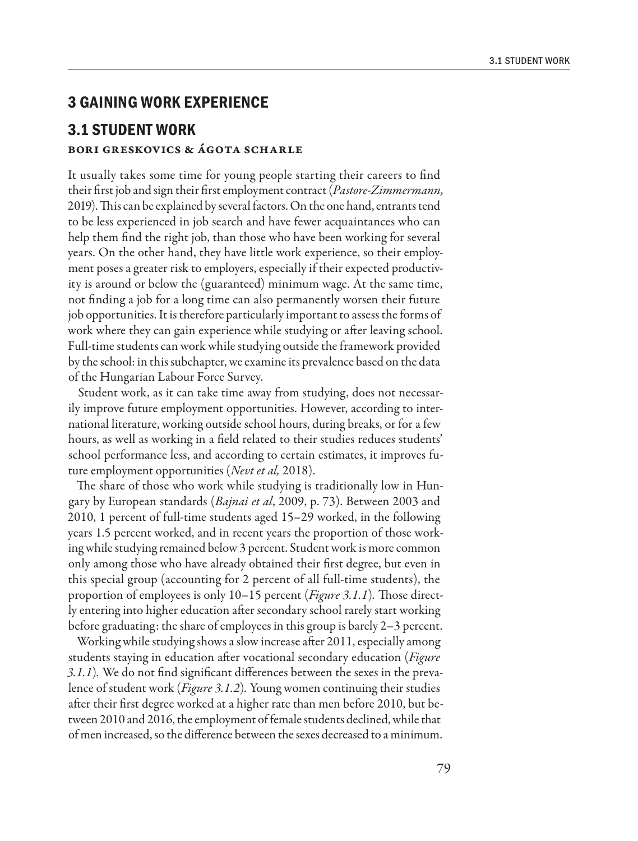## **3 GAINING WORK EXPERIENCE**

# **3.1 STUDENT WORK**

### Bori Greskovics & Ágota Scharle

It usually takes some time for young people starting their careers to find their first job and sign their first employment contract (*Pastore-Zimmermann,*  2019). This can be explained by several factors. On the one hand, entrants tend to be less experienced in job search and have fewer acquaintances who can help them find the right job, than those who have been working for several years. On the other hand, they have little work experience, so their employment poses a greater risk to employers, especially if their expected productivity is around or below the (guaranteed) minimum wage. At the same time, not finding a job for a long time can also permanently worsen their future job opportunities. It is therefore particularly important to assess the forms of work where they can gain experience while studying or after leaving school. Full-time students can work while studying outside the framework provided by the school: in this subchapter, we examine its prevalence based on the data of the Hungarian Labour Force Survey.

Student work, as it can take time away from studying, does not necessarily improve future employment opportunities. However, according to international literature, working outside school hours, during breaks, or for a few hours, as well as working in a field related to their studies reduces students' school performance less, and according to certain estimates, it improves future employment opportunities (*Nevt et al,* 2018).

The share of those who work while studying is traditionally low in Hungary by European standards (*Bajnai et al*, 2009, p. 73). Between 2003 and 2010, 1 percent of full-time students aged 15–29 worked, in the following years 1.5 percent worked, and in recent years the proportion of those working while studying remained below 3 percent. Student work is more common only among those who have already obtained their first degree, but even in this special group (accounting for 2 percent of all full-time students), the proportion of employees is only 10–15 percent (*Figure 3.1.1*)*.* Those directly entering into higher education after secondary school rarely start working before graduating: the share of employees in this group is barely 2–3 percent.

Working while studying shows a slow increase after 2011, especially among students staying in education after vocational secondary education (*Figure 3.1.1*)*.* We do not find significant differences between the sexes in the prevalence of student work (*Figure 3.1.2*)*.* Young women continuing their studies after their first degree worked at a higher rate than men before 2010, but between 2010 and 2016, the employment of female students declined, while that of men increased, so the difference between the sexes decreased to a minimum.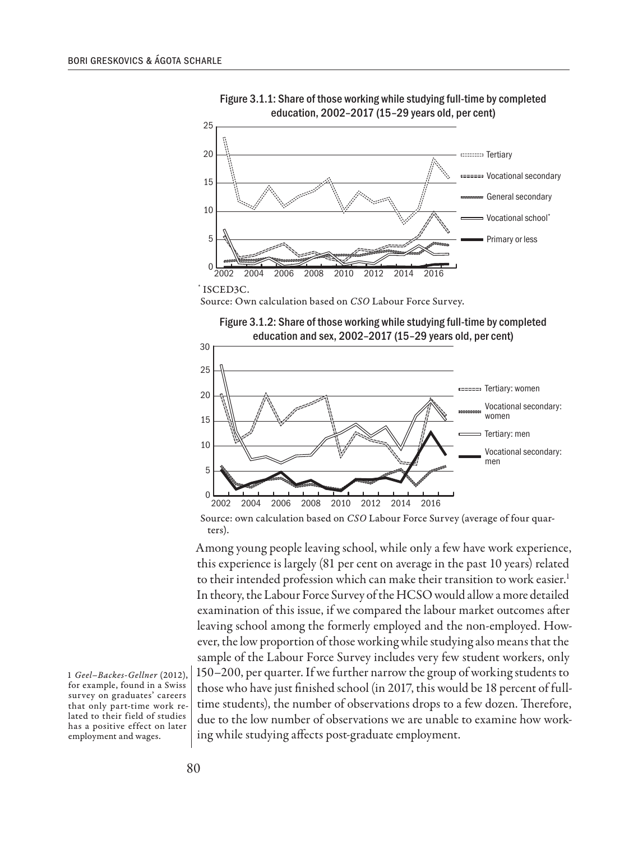

Figure 3.1.1: Share of those working while studying full-time by completed education, 2002–2017 (15–29 years old, per cent)

Source: Own calculation based on *CSO* Labour Force Survey.





Source: own calculation based on *CSO* Labour Force Survey (average of four quarters).

Among young people leaving school, while only a few have work experience, this experience is largely (81 per cent on average in the past 10 years) related to their intended profession which can make their transition to work easier.<sup>1</sup> In theory, the Labour Force Survey of the HCSO would allow a more detailed examination of this issue, if we compared the labour market outcomes after leaving school among the formerly employed and the non-employed. However, the low proportion of those working while studying also means that the sample of the Labour Force Survey includes very few student workers, only 150–200, per quarter. If we further narrow the group of working students to those who have just finished school (in 2017, this would be 18 percent of fulltime students), the number of observations drops to a few dozen. Therefore, due to the low number of observations we are unable to examine how working while studying affects post-graduate employment.

1 *Geel–Backes-Gellner* (2012), for example, found in a Swiss survey on graduates' careers that only part-time work related to their field of studies has a positive effect on later employment and wages.